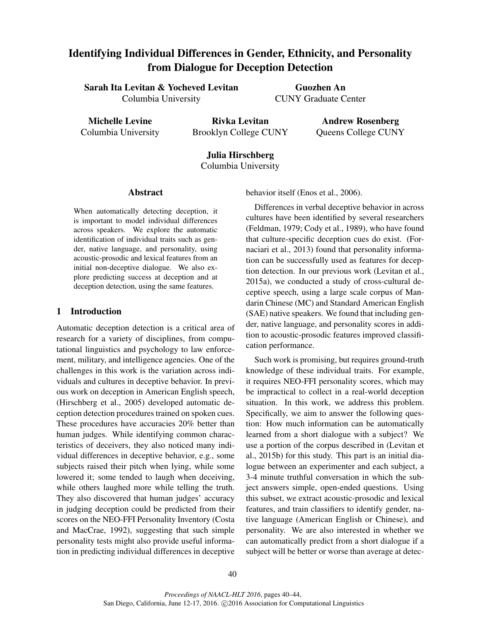# Identifying Individual Differences in Gender, Ethnicity, and Personality from Dialogue for Deception Detection

Sarah Ita Levitan & Yocheved Levitan Columbia University

Guozhen An CUNY Graduate Center

Michelle Levine Columbia University

Rivka Levitan Brooklyn College CUNY

Andrew Rosenberg Queens College CUNY

# Julia Hirschberg Columbia University

Abstract

When automatically detecting deception, it is important to model individual differences across speakers. We explore the automatic identification of individual traits such as gender, native language, and personality, using acoustic-prosodic and lexical features from an initial non-deceptive dialogue. We also explore predicting success at deception and at deception detection, using the same features.

# 1 Introduction

Automatic deception detection is a critical area of research for a variety of disciplines, from computational linguistics and psychology to law enforcement, military, and intelligence agencies. One of the challenges in this work is the variation across individuals and cultures in deceptive behavior. In previous work on deception in American English speech, (Hirschberg et al., 2005) developed automatic deception detection procedures trained on spoken cues. These procedures have accuracies 20% better than human judges. While identifying common characteristics of deceivers, they also noticed many individual differences in deceptive behavior, e.g., some subjects raised their pitch when lying, while some lowered it; some tended to laugh when deceiving, while others laughed more while telling the truth. They also discovered that human judges' accuracy in judging deception could be predicted from their scores on the NEO-FFI Personality Inventory (Costa and MacCrae, 1992), suggesting that such simple personality tests might also provide useful information in predicting individual differences in deceptive behavior itself (Enos et al., 2006).

Differences in verbal deceptive behavior in across cultures have been identified by several researchers (Feldman, 1979; Cody et al., 1989), who have found that culture-specific deception cues do exist. (Fornaciari et al., 2013) found that personality information can be successfully used as features for deception detection. In our previous work (Levitan et al., 2015a), we conducted a study of cross-cultural deceptive speech, using a large scale corpus of Mandarin Chinese (MC) and Standard American English (SAE) native speakers. We found that including gender, native language, and personality scores in addition to acoustic-prosodic features improved classification performance.

Such work is promising, but requires ground-truth knowledge of these individual traits. For example, it requires NEO-FFI personality scores, which may be impractical to collect in a real-world deception situation. In this work, we address this problem. Specifically, we aim to answer the following question: How much information can be automatically learned from a short dialogue with a subject? We use a portion of the corpus described in (Levitan et al., 2015b) for this study. This part is an initial dialogue between an experimenter and each subject, a 3-4 minute truthful conversation in which the subject answers simple, open-ended questions. Using this subset, we extract acoustic-prosodic and lexical features, and train classifiers to identify gender, native language (American English or Chinese), and personality. We are also interested in whether we can automatically predict from a short dialogue if a subject will be better or worse than average at detec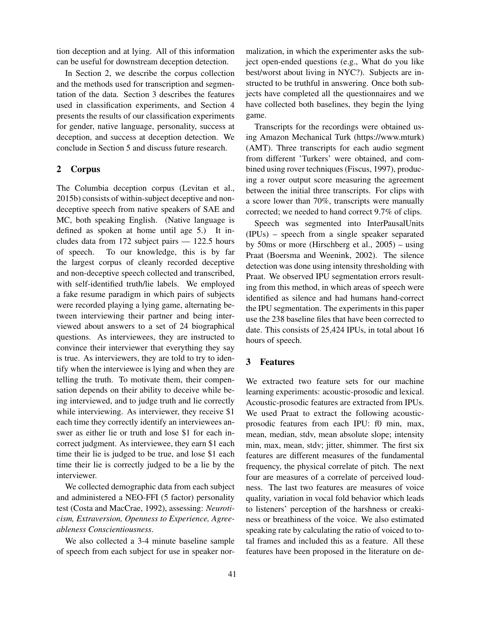tion deception and at lying. All of this information can be useful for downstream deception detection.

In Section 2, we describe the corpus collection and the methods used for transcription and segmentation of the data. Section 3 describes the features used in classification experiments, and Section 4 presents the results of our classification experiments for gender, native language, personality, success at deception, and success at deception detection. We conclude in Section 5 and discuss future research.

# 2 Corpus

The Columbia deception corpus (Levitan et al., 2015b) consists of within-subject deceptive and nondeceptive speech from native speakers of SAE and MC, both speaking English. (Native language is defined as spoken at home until age 5.) It includes data from 172 subject pairs — 122.5 hours of speech. To our knowledge, this is by far the largest corpus of cleanly recorded deceptive and non-deceptive speech collected and transcribed, with self-identified truth/lie labels. We employed a fake resume paradigm in which pairs of subjects were recorded playing a lying game, alternating between interviewing their partner and being interviewed about answers to a set of 24 biographical questions. As interviewees, they are instructed to convince their interviewer that everything they say is true. As interviewers, they are told to try to identify when the interviewee is lying and when they are telling the truth. To motivate them, their compensation depends on their ability to deceive while being interviewed, and to judge truth and lie correctly while interviewing. As interviewer, they receive \$1 each time they correctly identify an interviewees answer as either lie or truth and lose \$1 for each incorrect judgment. As interviewee, they earn \$1 each time their lie is judged to be true, and lose \$1 each time their lie is correctly judged to be a lie by the interviewer.

We collected demographic data from each subject and administered a NEO-FFI (5 factor) personality test (Costa and MacCrae, 1992), assessing: *Neuroticism, Extraversion, Openness to Experience, Agreeableness Conscientiousness*.

We also collected a 3-4 minute baseline sample of speech from each subject for use in speaker normalization, in which the experimenter asks the subject open-ended questions (e.g., What do you like best/worst about living in NYC?). Subjects are instructed to be truthful in answering. Once both subjects have completed all the questionnaires and we have collected both baselines, they begin the lying game.

Transcripts for the recordings were obtained using Amazon Mechanical Turk (https://www.mturk) (AMT). Three transcripts for each audio segment from different 'Turkers' were obtained, and combined using rover techniques (Fiscus, 1997), producing a rover output score measuring the agreement between the initial three transcripts. For clips with a score lower than 70%, transcripts were manually corrected; we needed to hand correct 9.7% of clips.

Speech was segmented into InterPausalUnits (IPUs) – speech from a single speaker separated by 50ms or more (Hirschberg et al., 2005) – using Praat (Boersma and Weenink, 2002). The silence detection was done using intensity thresholding with Praat. We observed IPU segmentation errors resulting from this method, in which areas of speech were identified as silence and had humans hand-correct the IPU segmentation. The experiments in this paper use the 238 baseline files that have been corrected to date. This consists of 25,424 IPUs, in total about 16 hours of speech.

# 3 Features

We extracted two feature sets for our machine learning experiments: acoustic-prosodic and lexical. Acoustic-prosodic features are extracted from IPUs. We used Praat to extract the following acousticprosodic features from each IPU: f0 min, max, mean, median, stdv, mean absolute slope; intensity min, max, mean, stdv; jitter, shimmer. The first six features are different measures of the fundamental frequency, the physical correlate of pitch. The next four are measures of a correlate of perceived loudness. The last two features are measures of voice quality, variation in vocal fold behavior which leads to listeners' perception of the harshness or creakiness or breathiness of the voice. We also estimated speaking rate by calculating the ratio of voiced to total frames and included this as a feature. All these features have been proposed in the literature on de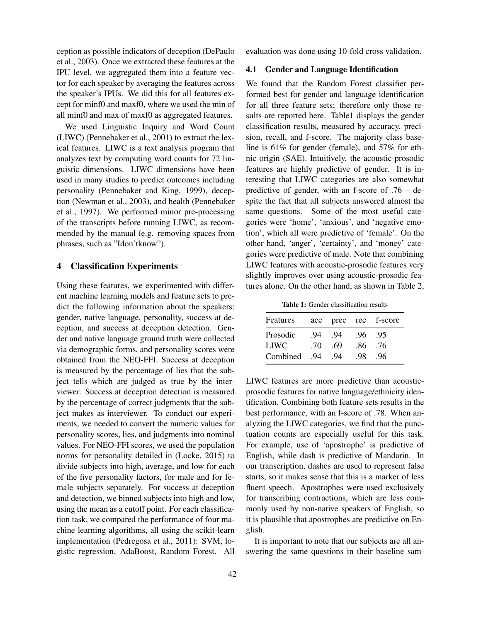ception as possible indicators of deception (DePaulo et al., 2003). Once we extracted these features at the IPU level, we aggregated them into a feature vector for each speaker by averaging the features across the speaker's IPUs. We did this for all features except for minf0 and maxf0, where we used the min of all minf0 and max of maxf0 as aggregated features.

We used Linguistic Inquiry and Word Count (LIWC) (Pennebaker et al., 2001) to extract the lexical features. LIWC is a text analysis program that analyzes text by computing word counts for 72 linguistic dimensions. LIWC dimensions have been used in many studies to predict outcomes including personality (Pennebaker and King, 1999), deception (Newman et al., 2003), and health (Pennebaker et al., 1997). We performed minor pre-processing of the transcripts before running LIWC, as recommended by the manual (e.g. removing spaces from phrases, such as "Idon'tknow").

#### 4 Classification Experiments

Using these features, we experimented with different machine learning models and feature sets to predict the following information about the speakers: gender, native language, personality, success at deception, and success at deception detection. Gender and native language ground truth were collected via demographic forms, and personality scores were obtained from the NEO-FFI. Success at deception is measured by the percentage of lies that the subject tells which are judged as true by the interviewer. Success at deception detection is measured by the percentage of correct judgments that the subject makes as interviewer. To conduct our experiments, we needed to convert the numeric values for personality scores, lies, and judgments into nominal values. For NEO-FFI scores, we used the population norms for personality detailed in (Locke, 2015) to divide subjects into high, average, and low for each of the five personality factors, for male and for female subjects separately. For success at deception and detection, we binned subjects into high and low, using the mean as a cutoff point. For each classification task, we compared the performance of four machine learning algorithms, all using the scikit-learn implementation (Pedregosa et al., 2011): SVM, logistic regression, AdaBoost, Random Forest. All evaluation was done using 10-fold cross validation.

#### 4.1 Gender and Language Identification

We found that the Random Forest classifier performed best for gender and language identification for all three feature sets; therefore only those results are reported here. Table1 displays the gender classification results, measured by accuracy, precision, recall, and f-score. The majority class baseline is 61% for gender (female), and 57% for ethnic origin (SAE). Intuitively, the acoustic-prosodic features are highly predictive of gender. It is interesting that LIWC categories are also somewhat predictive of gender, with an f-score of .76 – despite the fact that all subjects answered almost the same questions. Some of the most useful categories were 'home', 'anxious', and 'negative emotion', which all were predictive of 'female'. On the other hand, 'anger', 'certainty', and 'money' categories were predictive of male. Note that combining LIWC features with acoustic-prosodic features very slightly improves over using acoustic-prosodic features alone. On the other hand, as shown in Table 2,

Table 1: Gender classification results

| acc |     |     |                  |
|-----|-----|-----|------------------|
| -94 | .94 | .96 | .95              |
| -70 | .69 | .86 | .76              |
| .94 | -94 | -98 | -96              |
|     |     |     | prec rec f-score |

LIWC features are more predictive than acousticprosodic features for native language/ethnicity identification. Combining both feature sets results in the best performance, with an f-score of .78. When analyzing the LIWC categories, we find that the punctuation counts are especially useful for this task. For example, use of 'apostrophe' is predictive of English, while dash is predictive of Mandarin. In our transcription, dashes are used to represent false starts, so it makes sense that this is a marker of less fluent speech. Apostrophes were used exclusively for transcribing contractions, which are less commonly used by non-native speakers of English, so it is plausible that apostrophes are predictive on English.

It is important to note that our subjects are all answering the same questions in their baseline sam-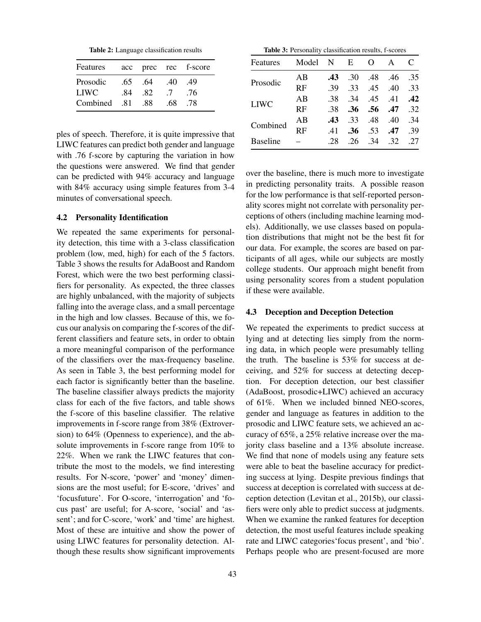Table 2: Language classification results

| Features    |     |     |     | acc prec rec f-score |
|-------------|-----|-----|-----|----------------------|
| Prosodic    | .65 | .64 | .40 | .49                  |
| <b>LIWC</b> | -84 | .82 | .7  | .76                  |
| Combined    | -81 | -88 | .68 | .78                  |

ples of speech. Therefore, it is quite impressive that LIWC features can predict both gender and language with .76 f-score by capturing the variation in how the questions were answered. We find that gender can be predicted with 94% accuracy and language with 84% accuracy using simple features from 3-4 minutes of conversational speech.

#### 4.2 Personality Identification

We repeated the same experiments for personality detection, this time with a 3-class classification problem (low, med, high) for each of the 5 factors. Table 3 shows the results for AdaBoost and Random Forest, which were the two best performing classifiers for personality. As expected, the three classes are highly unbalanced, with the majority of subjects falling into the average class, and a small percentage in the high and low classes. Because of this, we focus our analysis on comparing the f-scores of the different classifiers and feature sets, in order to obtain a more meaningful comparison of the performance of the classifiers over the max-frequency baseline. As seen in Table 3, the best performing model for each factor is significantly better than the baseline. The baseline classifier always predicts the majority class for each of the five factors, and table shows the f-score of this baseline classifier. The relative improvements in f-score range from 38% (Extroversion) to 64% (Openness to experience), and the absolute improvements in f-score range from 10% to 22%. When we rank the LIWC features that contribute the most to the models, we find interesting results. For N-score, 'power' and 'money' dimensions are the most useful; for E-score, 'drives' and 'focusfuture'. For O-score, 'interrogation' and 'focus past' are useful; for A-score, 'social' and 'assent'; and for C-score, 'work' and 'time' are highest. Most of these are intuitive and show the power of using LIWC features for personality detection. Although these results show significant improvements

Table 3: Personality classification results, f-scores

| Features        | Model     | N   | E                | $\Omega$ | A   | C   |
|-----------------|-----------|-----|------------------|----------|-----|-----|
| Prosodic        | AB        | .43 | .30              | .48      | .46 | .35 |
|                 | RF        | .39 | .33              | .45      | .40 | .33 |
| <b>LIWC</b>     | AB        | .38 | 34               | .45      | .41 | .42 |
|                 | <b>RF</b> | .38 | .36              | .56      | .47 | .32 |
| Combined        | AB        | .43 | .33              | .48      | .40 | .34 |
|                 | RF        | .41 | .36 <sub>1</sub> | .53      | .47 | .39 |
| <b>Baseline</b> |           | .28 | .26              | 34       | .32 | .27 |

over the baseline, there is much more to investigate in predicting personality traits. A possible reason for the low performance is that self-reported personality scores might not correlate with personality perceptions of others (including machine learning models). Additionally, we use classes based on population distributions that might not be the best fit for our data. For example, the scores are based on participants of all ages, while our subjects are mostly college students. Our approach might benefit from using personality scores from a student population if these were available.

#### 4.3 Deception and Deception Detection

We repeated the experiments to predict success at lying and at detecting lies simply from the norming data, in which people were presumably telling the truth. The baseline is 53% for success at deceiving, and 52% for success at detecting deception. For deception detection, our best classifier (AdaBoost, prosodic+LIWC) achieved an accuracy of 61%. When we included binned NEO-scores, gender and language as features in addition to the prosodic and LIWC feature sets, we achieved an accuracy of 65%, a 25% relative increase over the majority class baseline and a 13% absolute increase. We find that none of models using any feature sets were able to beat the baseline accuracy for predicting success at lying. Despite previous findings that success at deception is correlated with success at deception detection (Levitan et al., 2015b), our classifiers were only able to predict success at judgments. When we examine the ranked features for deception detection, the most useful features include speaking rate and LIWC categories'focus present', and 'bio'. Perhaps people who are present-focused are more